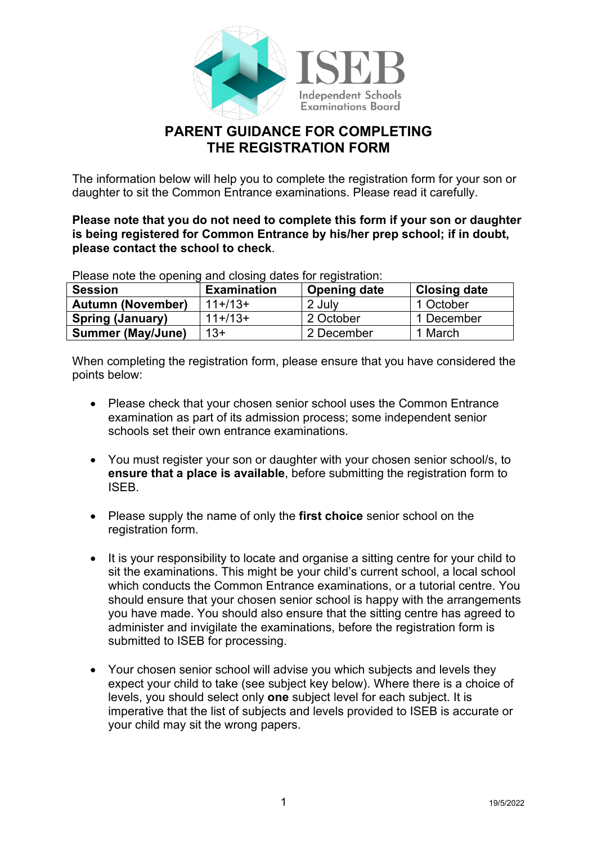

# **PARENT GUIDANCE FOR COMPLETING THE REGISTRATION FORM**

The information below will help you to complete the registration form for your son or daughter to sit the Common Entrance examinations. Please read it carefully.

**Please note that you do not need to complete this form if your son or daughter is being registered for Common Entrance by his/her prep school; if in doubt, please contact the school to check**.

Please note the opening and closing dates for registration:

| <b>Session</b>           | <b>Examination</b> | <b>Opening date</b> | <b>Closing date</b> |
|--------------------------|--------------------|---------------------|---------------------|
| <b>Autumn (November)</b> | $11+113+$          | 2 July              | 1 October           |
| <b>Spring (January)</b>  | $11+13+$           | 2 October           | 1 December          |
| <b>Summer (May/June)</b> | $13+$              | 2 December          | 1 March             |

When completing the registration form, please ensure that you have considered the points below:

- Please check that your chosen senior school uses the Common Entrance examination as part of its admission process; some independent senior schools set their own entrance examinations.
- You must register your son or daughter with your chosen senior school/s, to **ensure that a place is available**, before submitting the registration form to ISEB.
- Please supply the name of only the **first choice** senior school on the registration form.
- It is your responsibility to locate and organise a sitting centre for your child to sit the examinations. This might be your child's current school, a local school which conducts the Common Entrance examinations, or a tutorial centre. You should ensure that your chosen senior school is happy with the arrangements you have made. You should also ensure that the sitting centre has agreed to administer and invigilate the examinations, before the registration form is submitted to ISEB for processing.
- Your chosen senior school will advise you which subjects and levels they expect your child to take (see subject key below). Where there is a choice of levels, you should select only **one** subject level for each subject. It is imperative that the list of subjects and levels provided to ISEB is accurate or your child may sit the wrong papers.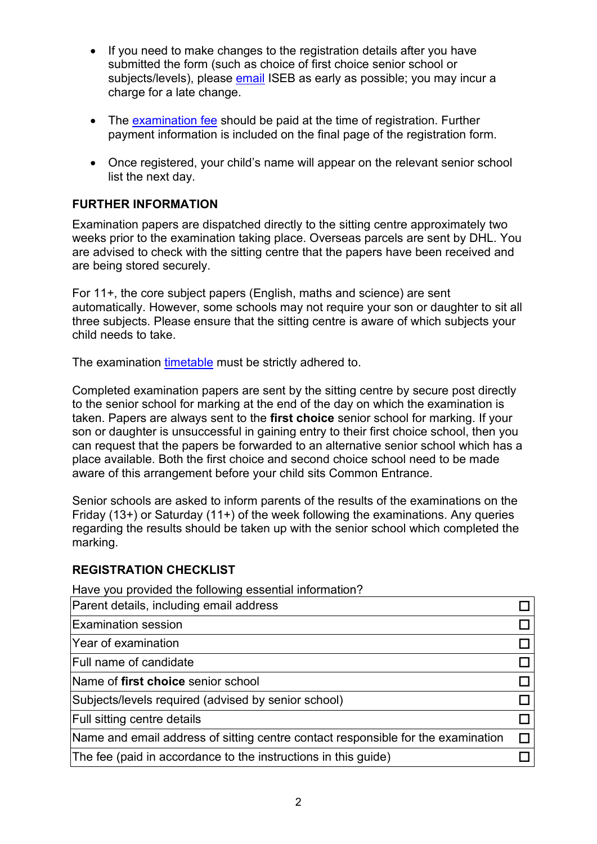- If you need to make changes to the registration details after you have submitted the form (such as choice of first choice senior school or subjects/levels), please [email](mailto:enquiries@iseb.co.uk) ISEB as early as possible; you may incur a charge for a late change.
- The [examination fee](https://www.iseb.co.uk/assessments/common-entrance/for-families/) should be paid at the time of registration. Further payment information is included on the final page of the registration form.
- Once registered, your child's name will appear on the relevant senior school list the next day.

## **FURTHER INFORMATION**

Examination papers are dispatched directly to the sitting centre approximately two weeks prior to the examination taking place. Overseas parcels are sent by DHL. You are advised to check with the sitting centre that the papers have been received and are being stored securely.

For 11+, the core subject papers (English, maths and science) are sent automatically. However, some schools may not require your son or daughter to sit all three subjects. Please ensure that the sitting centre is aware of which subjects your child needs to take.

The examination [timetable](https://www.iseb.co.uk/assessments/common-entrance/for-families/) must be strictly adhered to.

Completed examination papers are sent by the sitting centre by secure post directly to the senior school for marking at the end of the day on which the examination is taken. Papers are always sent to the **first choice** senior school for marking. If your son or daughter is unsuccessful in gaining entry to their first choice school, then you can request that the papers be forwarded to an alternative senior school which has a place available. Both the first choice and second choice school need to be made aware of this arrangement before your child sits Common Entrance.

Senior schools are asked to inform parents of the results of the examinations on the Friday (13+) or Saturday (11+) of the week following the examinations. Any queries regarding the results should be taken up with the senior school which completed the marking.

#### **REGISTRATION CHECKLIST**

Have you provided the following essential information?

| Parent details, including email address                                          |  |
|----------------------------------------------------------------------------------|--|
| <b>Examination session</b>                                                       |  |
| <b>Year of examination</b>                                                       |  |
| <b>Full name of candidate</b>                                                    |  |
| Name of first choice senior school                                               |  |
| Subjects/levels required (advised by senior school)                              |  |
| <b>Full sitting centre details</b>                                               |  |
| Name and email address of sitting centre contact responsible for the examination |  |
| The fee (paid in accordance to the instructions in this guide)                   |  |